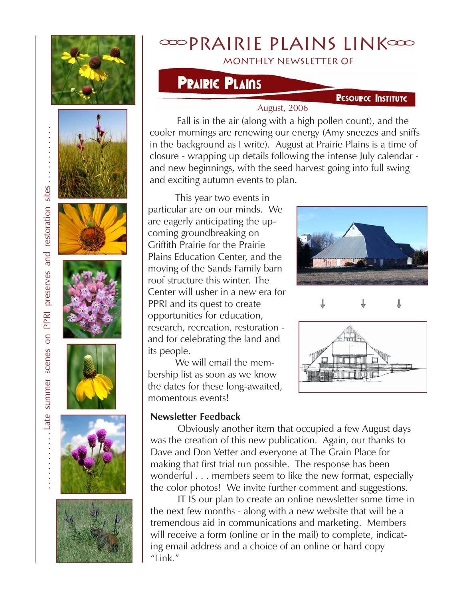













# Prairie plains Link

monthly newsletter of

## **PRAIRIC PLAINS**

#### **PESOUPCE INSTITUTE**

#### August, 2006

Fall is in the air (along with a high pollen count), and the cooler mornings are renewing our energy (Amy sneezes and sniffs in the background as I write). August at Prairie Plains is a time of closure - wrapping up details following the intense July calendar and new beginnings, with the seed harvest going into full swing and exciting autumn events to plan.

This year two events in particular are on our minds. We are eagerly anticipating the upcoming groundbreaking on Griffith Prairie for the Prairie Plains Education Center, and the moving of the Sands Family barn roof structure this winter. The Center will usher in a new era for PPRI and its quest to create opportunities for education, research, recreation, restoration and for celebrating the land and its people.

We will email the membership list as soon as we know the dates for these long-awaited, momentous events!

#### **Newsletter Feedback**

Obviously another item that occupied a few August days was the creation of this new publication. Again, our thanks to Dave and Don Vetter and everyone at The Grain Place for making that first trial run possible. The response has been wonderful . . . members seem to like the new format, especially the color photos! We invite further comment and suggestions.

IT IS our plan to create an online newsletter some time in the next few months - along with a new website that will be a tremendous aid in communications and marketing. Members will receive a form (online or in the mail) to complete, indicating email address and a choice of an online or hard copy "Link."